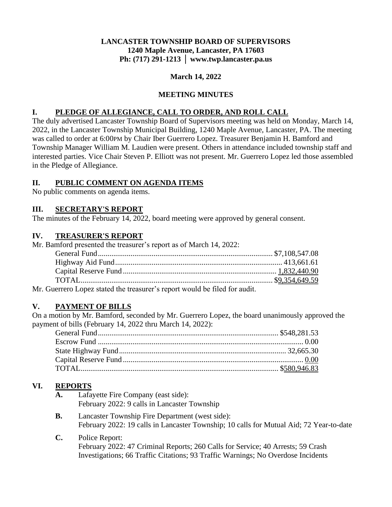## **LANCASTER TOWNSHIP BOARD OF SUPERVISORS 1240 Maple Avenue, Lancaster, PA 17603 Ph: (717) 291-1213 │ www.twp.lancaster.pa.us**

## **March 14, 2022**

## **MEETING MINUTES**

## **I. PLEDGE OF ALLEGIANCE, CALL TO ORDER, AND ROLL CALL**

The duly advertised Lancaster Township Board of Supervisors meeting was held on Monday, March 14, 2022, in the Lancaster Township Municipal Building, 1240 Maple Avenue, Lancaster, PA. The meeting was called to order at 6:00PM by Chair Iber Guerrero Lopez. Treasurer Benjamin H. Bamford and Township Manager William M. Laudien were present. Others in attendance included township staff and interested parties. Vice Chair Steven P. Elliott was not present. Mr. Guerrero Lopez led those assembled in the Pledge of Allegiance.

### **II. PUBLIC COMMENT ON AGENDA ITEMS**

No public comments on agenda items.

#### **III. SECRETARY'S REPORT**

The minutes of the February 14, 2022, board meeting were approved by general consent.

#### **IV. TREASURER'S REPORT**

Mr. Bamford presented the treasurer's report as of March 14, 2022:

Mr. Guerrero Lopez stated the treasurer's report would be filed for audit.

#### **V. PAYMENT OF BILLS**

On a motion by Mr. Bamford, seconded by Mr. Guerrero Lopez, the board unanimously approved the payment of bills (February 14, 2022 thru March 14, 2022):

## **VI. REPORTS**

- **A.** Lafayette Fire Company (east side): February 2022: 9 calls in Lancaster Township
- **B.** Lancaster Township Fire Department (west side): February 2022: 19 calls in Lancaster Township; 10 calls for Mutual Aid; 72 Year-to-date
- **C.** Police Report: February 2022: 47 Criminal Reports; 260 Calls for Service; 40 Arrests; 59 Crash Investigations; 66 Traffic Citations; 93 Traffic Warnings; No Overdose Incidents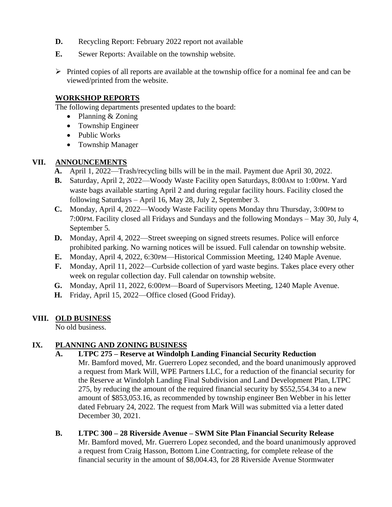- **D.** Recycling Report: February 2022 report not available
- **E.** Sewer Reports: Available on the township website.
- $\triangleright$  Printed copies of all reports are available at the township office for a nominal fee and can be viewed/printed from the website.

## **WORKSHOP REPORTS**

The following departments presented updates to the board:

- Planning & Zoning
- Township Engineer
- Public Works
- Township Manager

## **VII. ANNOUNCEMENTS**

- **A.** April 1, 2022—Trash/recycling bills will be in the mail. Payment due April 30, 2022.
- **B.** Saturday, April 2, 2022—Woody Waste Facility open Saturdays, 8:00AM to 1:00PM. Yard waste bags available starting April 2 and during regular facility hours. Facility closed the following Saturdays – April 16, May 28, July 2, September 3.
- **C.** Monday, April 4, 2022—Woody Waste Facility opens Monday thru Thursday, 3:00PM to 7:00PM. Facility closed all Fridays and Sundays and the following Mondays – May 30, July 4, September 5*.*
- **D.** Monday, April 4, 2022—Street sweeping on signed streets resumes. Police will enforce prohibited parking. No warning notices will be issued. Full calendar on township website.
- **E.** Monday, April 4, 2022, 6:30PM—Historical Commission Meeting, 1240 Maple Avenue.
- **F.** Monday, April 11, 2022—Curbside collection of yard waste begins. Takes place every other week on regular collection day. Full calendar on township website.
- **G.** Monday, April 11, 2022, 6:00PM—Board of Supervisors Meeting, 1240 Maple Avenue.
- **H.** Friday, April 15, 2022—Office closed (Good Friday).

# **VIII. OLD BUSINESS**

No old business.

# **IX. PLANNING AND ZONING BUSINESS**

- **A. LTPC 275 – Reserve at Windolph Landing Financial Security Reduction** Mr. Bamford moved, Mr. Guerrero Lopez seconded, and the board unanimously approved a request from Mark Will, WPE Partners LLC, for a reduction of the financial security for the Reserve at Windolph Landing Final Subdivision and Land Development Plan, LTPC 275, by reducing the amount of the required financial security by \$552,554.34 to a new amount of \$853,053.16, as recommended by township engineer Ben Webber in his letter dated February 24, 2022. The request from Mark Will was submitted via a letter dated December 30, 2021.
- **B. LTPC 300 – 28 Riverside Avenue – SWM Site Plan Financial Security Release** Mr. Bamford moved, Mr. Guerrero Lopez seconded, and the board unanimously approved a request from Craig Hasson, Bottom Line Contracting, for complete release of the financial security in the amount of \$8,004.43, for 28 Riverside Avenue Stormwater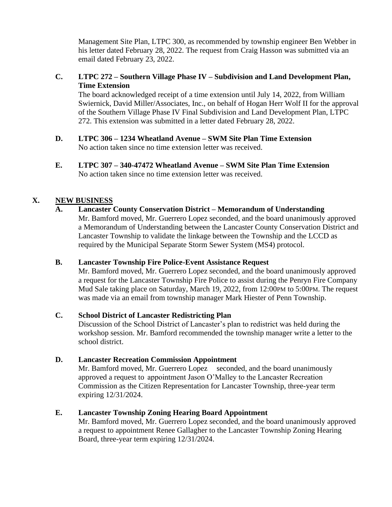Management Site Plan, LTPC 300, as recommended by township engineer Ben Webber in his letter dated February 28, 2022. The request from Craig Hasson was submitted via an email dated February 23, 2022.

## **C. LTPC 272 – Southern Village Phase IV – Subdivision and Land Development Plan, Time Extension**

The board acknowledged receipt of a time extension until July 14, 2022, from William Swiernick, David Miller/Associates, Inc., on behalf of Hogan Herr Wolf II for the approval of the Southern Village Phase IV Final Subdivision and Land Development Plan, LTPC 272. This extension was submitted in a letter dated February 28, 2022.

- **D. LTPC 306 – 1234 Wheatland Avenue – SWM Site Plan Time Extension** No action taken since no time extension letter was received.
- **E. LTPC 307 – 340-47472 Wheatland Avenue – SWM Site Plan Time Extension** No action taken since no time extension letter was received.

# **X. NEW BUSINESS**

# **A. Lancaster County Conservation District – Memorandum of Understanding**

Mr. Bamford moved, Mr. Guerrero Lopez seconded, and the board unanimously approved a Memorandum of Understanding between the Lancaster County Conservation District and Lancaster Township to validate the linkage between the Township and the LCCD as required by the Municipal Separate Storm Sewer System (MS4) protocol.

## **B. Lancaster Township Fire Police-Event Assistance Request**

Mr. Bamford moved, Mr. Guerrero Lopez seconded, and the board unanimously approved a request for the Lancaster Township Fire Police to assist during the Penryn Fire Company Mud Sale taking place on Saturday, March 19, 2022, from 12:00PM to 5:00PM. The request was made via an email from township manager Mark Hiester of Penn Township.

## **C. School District of Lancaster Redistricting Plan**

Discussion of the School District of Lancaster's plan to redistrict was held during the workshop session. Mr. Bamford recommended the township manager write a letter to the school district.

#### **D. Lancaster Recreation Commission Appointment**

Mr. Bamford moved, Mr. Guerrero Lopez seconded, and the board unanimously approved a request to appointment Jason O'Malley to the Lancaster Recreation Commission as the Citizen Representation for Lancaster Township, three-year term expiring 12/31/2024.

#### **E. Lancaster Township Zoning Hearing Board Appointment**

Mr. Bamford moved, Mr. Guerrero Lopez seconded, and the board unanimously approved a request to appointment Renee Gallagher to the Lancaster Township Zoning Hearing Board, three-year term expiring 12/31/2024.